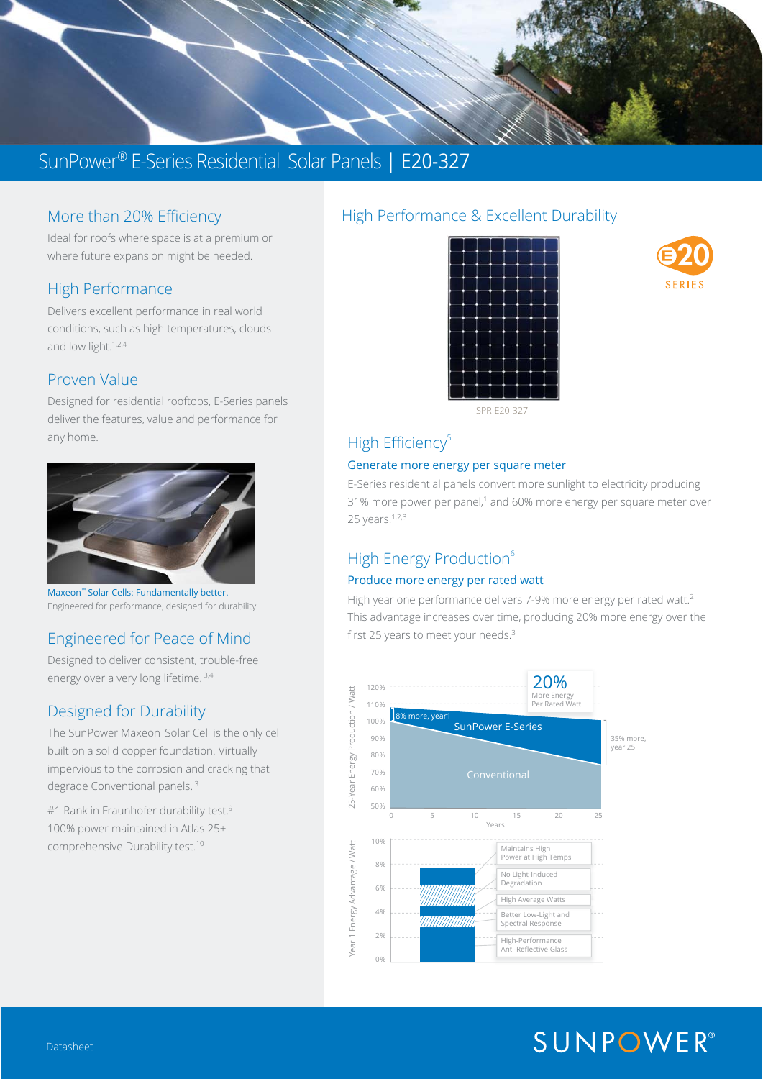

# SunPower® E-Series Residential Solar Panels | E20-327

#### More than 20% Efficiency

Ideal for roofs where space is at a premium or where future expansion might be needed.

#### High Performance

Delivers excellent performance in real world conditions, such as high temperatures, clouds and low light.<sup>1,2,4</sup>

#### Proven Value

Designed for residential rooftops, E-Series panels deliver the features, value and performance for any home.



Maxeon™ Solar Cells: Fundamentally better. Engineered for performance, designed for durability.

## Engineered for Peace of Mind

Designed to deliver consistent, trouble-free energy over a very long lifetime.<sup>3,4</sup>

## Designed for Durability

The SunPower Maxeon Solar Cell is the only cell built on a solid copper foundation. Virtually impervious to the corrosion and cracking that degrade Conventional panels. 3

#1 Rank in Fraunhofer durability test.<sup>9</sup> 100% power maintained in Atlas 25+ comprehensive Durability test.10

# High Performance & Excellent Durability





SPR-E20-327

# High Efficiency<sup>5</sup>

#### Generate more energy per square meter

E-Series residential panels convert more sunlight to electricity producing 31% more power per panel,<sup>1</sup> and 60% more energy per square meter over 25 years.<sup>1,2,3</sup>

# High Energy Production<sup>6</sup>

#### Produce more energy per rated watt

High year one performance delivers 7-9% more energy per rated watt.<sup>2</sup> This advantage increases over time, producing 20% more energy over the first 25 years to meet your needs.<sup>3</sup>



# **SUNPOWER®**